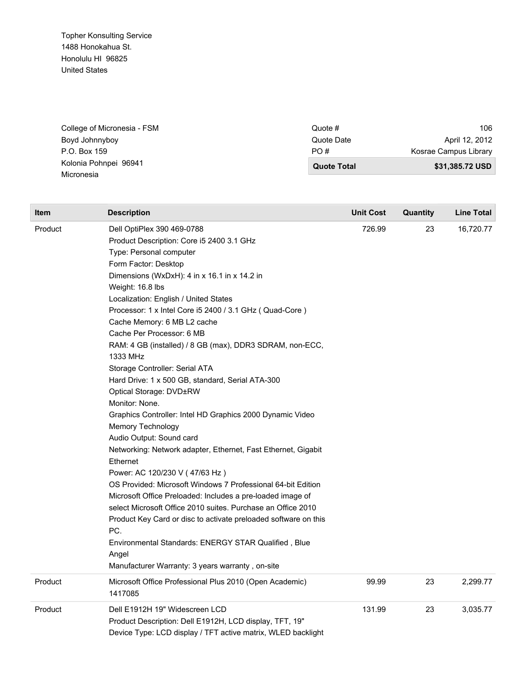Topher Konsulting Service 1488 Honokahua St. Honolulu HI 96825 United States

| College of Micronesia - FSM | Quote #            | 106                   |
|-----------------------------|--------------------|-----------------------|
| Boyd Johnnyboy              | Quote Date         | April 12, 2012        |
| P.O. Box 159                | PO#                | Kosrae Campus Library |
| Kolonia Pohnpei 96941       | <b>Quote Total</b> | \$31,385.72 USD       |
| Micronesia                  |                    |                       |

| <b>Item</b> | <b>Description</b>                                                                                                                                                                                                                                                                                                                                                                                                                                                                                                                                                                                                                                                                                                                                                                                                                                                                                                                                                                                                                                                                                                                                                                                  | <b>Unit Cost</b> | Quantity | Line Total |
|-------------|-----------------------------------------------------------------------------------------------------------------------------------------------------------------------------------------------------------------------------------------------------------------------------------------------------------------------------------------------------------------------------------------------------------------------------------------------------------------------------------------------------------------------------------------------------------------------------------------------------------------------------------------------------------------------------------------------------------------------------------------------------------------------------------------------------------------------------------------------------------------------------------------------------------------------------------------------------------------------------------------------------------------------------------------------------------------------------------------------------------------------------------------------------------------------------------------------------|------------------|----------|------------|
| Product     | Dell OptiPlex 390 469-0788<br>Product Description: Core i5 2400 3.1 GHz<br>Type: Personal computer<br>Form Factor: Desktop<br>Dimensions (WxDxH): 4 in x 16.1 in x 14.2 in<br>Weight: 16.8 lbs<br>Localization: English / United States<br>Processor: 1 x Intel Core i5 2400 / 3.1 GHz (Quad-Core)<br>Cache Memory: 6 MB L2 cache<br>Cache Per Processor: 6 MB<br>RAM: 4 GB (installed) / 8 GB (max), DDR3 SDRAM, non-ECC,<br>1333 MHz<br>Storage Controller: Serial ATA<br>Hard Drive: 1 x 500 GB, standard, Serial ATA-300<br>Optical Storage: DVD±RW<br>Monitor: None.<br>Graphics Controller: Intel HD Graphics 2000 Dynamic Video<br>Memory Technology<br>Audio Output: Sound card<br>Networking: Network adapter, Ethernet, Fast Ethernet, Gigabit<br>Ethernet<br>Power: AC 120/230 V (47/63 Hz)<br>OS Provided: Microsoft Windows 7 Professional 64-bit Edition<br>Microsoft Office Preloaded: Includes a pre-loaded image of<br>select Microsoft Office 2010 suites. Purchase an Office 2010<br>Product Key Card or disc to activate preloaded software on this<br>PC.<br>Environmental Standards: ENERGY STAR Qualified, Blue<br>Angel<br>Manufacturer Warranty: 3 years warranty, on-site | 726.99           | 23       | 16,720.77  |
| Product     | Microsoft Office Professional Plus 2010 (Open Academic)<br>1417085                                                                                                                                                                                                                                                                                                                                                                                                                                                                                                                                                                                                                                                                                                                                                                                                                                                                                                                                                                                                                                                                                                                                  | 99.99            | 23       | 2,299.77   |
| Product     | Dell E1912H 19" Widescreen LCD<br>Product Description: Dell E1912H, LCD display, TFT, 19"<br>Device Type: LCD display / TFT active matrix, WLED backlight                                                                                                                                                                                                                                                                                                                                                                                                                                                                                                                                                                                                                                                                                                                                                                                                                                                                                                                                                                                                                                           | 131.99           | 23       | 3,035.77   |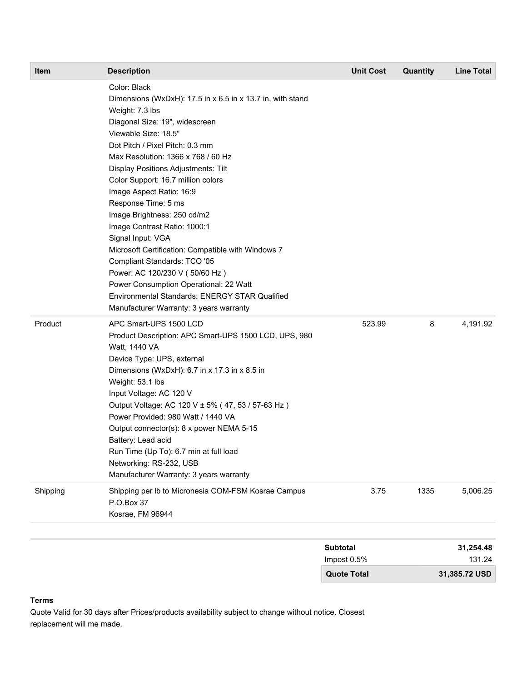| <b>Item</b> | <b>Description</b>                                                                                                                                                                                                                                                                                                                                                                                                                                                                                                                                                                                                                                                                                                  | <b>Unit Cost</b> | <b>Quantity</b> | <b>Line Total</b> |
|-------------|---------------------------------------------------------------------------------------------------------------------------------------------------------------------------------------------------------------------------------------------------------------------------------------------------------------------------------------------------------------------------------------------------------------------------------------------------------------------------------------------------------------------------------------------------------------------------------------------------------------------------------------------------------------------------------------------------------------------|------------------|-----------------|-------------------|
|             | Color: Black<br>Dimensions (WxDxH): 17.5 in x 6.5 in x 13.7 in, with stand<br>Weight: 7.3 lbs<br>Diagonal Size: 19", widescreen<br>Viewable Size: 18.5"<br>Dot Pitch / Pixel Pitch: 0.3 mm<br>Max Resolution: 1366 x 768 / 60 Hz<br>Display Positions Adjustments: Tilt<br>Color Support: 16.7 million colors<br>Image Aspect Ratio: 16:9<br>Response Time: 5 ms<br>Image Brightness: 250 cd/m2<br>Image Contrast Ratio: 1000:1<br>Signal Input: VGA<br>Microsoft Certification: Compatible with Windows 7<br>Compliant Standards: TCO '05<br>Power: AC 120/230 V (50/60 Hz)<br>Power Consumption Operational: 22 Watt<br>Environmental Standards: ENERGY STAR Qualified<br>Manufacturer Warranty: 3 years warranty |                  |                 |                   |
| Product     | APC Smart-UPS 1500 LCD<br>Product Description: APC Smart-UPS 1500 LCD, UPS, 980<br>Watt, 1440 VA<br>Device Type: UPS, external<br>Dimensions (WxDxH): 6.7 in x 17.3 in x 8.5 in<br>Weight: 53.1 lbs<br>Input Voltage: AC 120 V<br>Output Voltage: AC 120 V ± 5% (47, 53 / 57-63 Hz)<br>Power Provided: 980 Watt / 1440 VA<br>Output connector(s): 8 x power NEMA 5-15<br>Battery: Lead acid<br>Run Time (Up To): 6.7 min at full load<br>Networking: RS-232, USB<br>Manufacturer Warranty: 3 years warranty                                                                                                                                                                                                         | 523.99           | 8               | 4,191.92          |
| Shipping    | Shipping per Ib to Micronesia COM-FSM Kosrae Campus<br>P.O.Box 37<br>Kosrae, FM 96944                                                                                                                                                                                                                                                                                                                                                                                                                                                                                                                                                                                                                               | 3.75             | 1335            | 5,006.25          |
|             |                                                                                                                                                                                                                                                                                                                                                                                                                                                                                                                                                                                                                                                                                                                     |                  |                 |                   |

| 31,254.48     | <b>Subtotal</b>    |
|---------------|--------------------|
| 131.24        | Impost 0.5%        |
| 31,385.72 USD | <b>Quote Total</b> |

## **Terms**

Quote Valid for 30 days after Prices/products availability subject to change without notice. Closest replacement will me made.